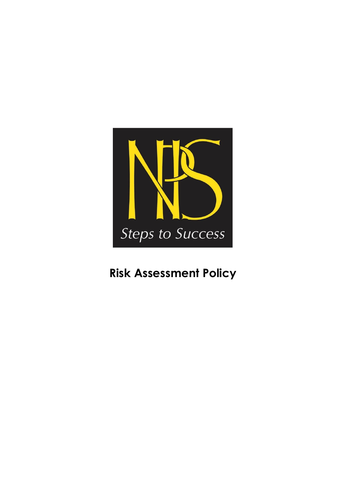

# **Risk Assessment Policy**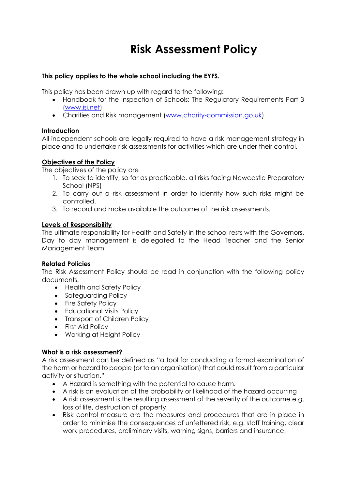## **Risk Assessment Policy**

## **This policy applies to the whole school including the EYFS.**

This policy has been drawn up with regard to the following:

- Handbook for the Inspection of Schools: The Regulatory Requirements Part 3 [\(www.isi.net\)](http://www.isi.net/)
- Charities and Risk management [\(www.charity-commission.go.uk\)](http://www.charity-commission.go.uk/)

## **Introduction**

All independent schools are legally required to have a risk management strategy in place and to undertake risk assessments for activities which are under their control.

## **Objectives of the Policy**

The objectives of the policy are

- 1. To seek to identify, so far as practicable, all risks facing Newcastle Preparatory School (NPS)
- 2. To carry out a risk assessment in order to identify how such risks might be controlled.
- 3. To record and make available the outcome of the risk assessments.

#### **Levels of Responsibility**

The ultimate responsibility for Health and Safety in the school rests with the Governors. Day to day management is delegated to the Head Teacher and the Senior Management Team.

#### **Related Policies**

The Risk Assessment Policy should be read in conjunction with the following policy documents.

- Health and Safety Policy
- Safeguarding Policy
- Fire Safety Policy
- Educational Visits Policy
- Transport of Children Policy
- First Aid Policy
- Working at Height Policy

## **What is a risk assessment?**

A risk assessment can be defined as "a tool for conducting a formal examination of the harm or hazard to people (or to an organisation) that could result from a particular activity or situation."

- A Hazard is something with the potential to cause harm.
- A risk is an evaluation of the probability or likelihood of the hazard occurring
- A risk assessment is the resulting assessment of the severity of the outcome e.g. loss of life, destruction of property.
- Risk control measure are the measures and procedures that are in place in order to minimise the consequences of unfettered risk, e.g. staff training, clear work procedures, preliminary visits, warning signs, barriers and insurance.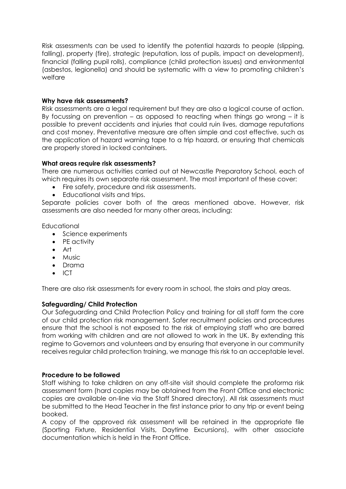Risk assessments can be used to identify the potential hazards to people (slipping, falling), property (fire), strategic (reputation, loss of pupils, impact on development), financial (falling pupil rolls), compliance (child protection issues) and environmental (asbestos, legionella) and should be systematic with a view to promoting children's welfare

## **Why have risk assessments?**

Risk assessments are a legal requirement but they are also a logical course of action. By focussing on prevention – as opposed to reacting when things go wrong – it is possible to prevent accidents and injuries that could ruin lives, damage reputations and cost money. Preventative measure are often simple and cost effective, such as the application of hazard warning tape to a trip hazard, or ensuring that chemicals are properly stored in locked containers.

#### **What areas require risk assessments?**

There are numerous activities carried out at Newcastle Preparatory School, each of which requires its own separate risk assessment. The most important of these cover:

- Fire safety, procedure and risk assessments.
- Educational visits and trips.

Separate policies cover both of the areas mentioned above. However, risk assessments are also needed for many other areas, including:

**Educational** 

- Science experiments
- PE activity
- Art
- Music
- Drama
- ICT

There are also risk assessments for every room in school, the stairs and play areas.

#### **Safeguarding/ Child Protection**

Our Safeguarding and Child Protection Policy and training for all staff form the core of our child protection risk management. Safer recruitment policies and procedures ensure that the school is not exposed to the risk of employing staff who are barred from working with children and are not allowed to work in the UK. By extending this regime to Governors and volunteers and by ensuring that everyone in our community receives regular child protection training, we manage this risk to an acceptable level.

#### **Procedure to be followed**

Staff wishing to take children on any off-site visit should complete the proforma risk assessment form (hard copies may be obtained from the Front Office and electronic copies are available on-line via the Staff Shared directory). All risk assessments must be submitted to the Head Teacher in the first instance prior to any trip or event being booked.

A copy of the approved risk assessment will be retained in the appropriate file (Sporting Fixture, Residential Visits, Daytime Excursions), with other associate documentation which is held in the Front Office.